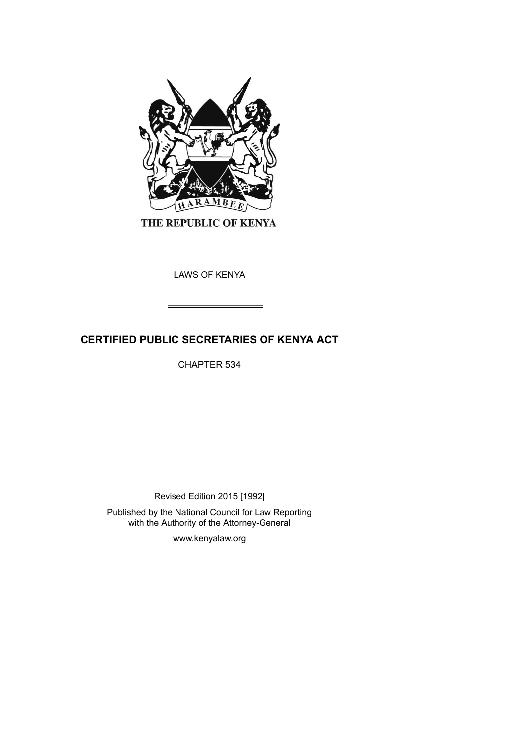

THE REPUBLIC OF KENYA

LAWS OF KENYA

# **CERTIFIED PUBLIC SECRETARIES OF KENYA ACT**

CHAPTER 534

Revised Edition 2015 [1992]

Published by the National Council for Law Reporting with the Authority of the Attorney-General

www.kenyalaw.org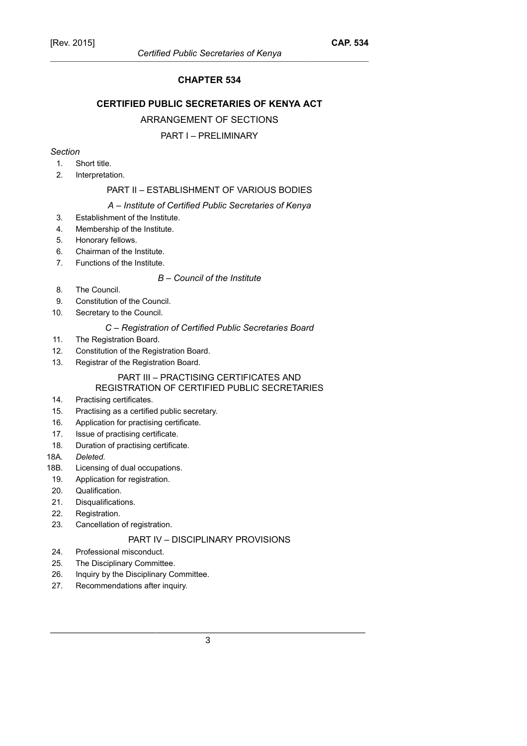## **CHAPTER 534**

## **CERTIFIED PUBLIC SECRETARIES OF KENYA ACT**

#### ARRANGEMENT OF SECTIONS

#### PART I – PRELIMINARY

#### *Section*

- 1. Short title.
- 2. Interpretation.

# PART II – ESTABLISHMENT OF VARIOUS BODIES

#### *A – Institute of Certified Public Secretaries of Kenya*

- 3. Establishment of the Institute.
- 4. Membership of the Institute.
- 5. Honorary fellows.
- 6. Chairman of the Institute.
- 7. Functions of the Institute.

#### *B – Council of the Institute*

- 8. The Council.
- 9. Constitution of the Council.
- 10. Secretary to the Council.

#### *C – Registration of Certified Public Secretaries Board*

- 11. The Registration Board.
- 12. Constitution of the Registration Board.
- 13. Registrar of the Registration Board.

#### PART III – PRACTISING CERTIFICATES AND REGISTRATION OF CERTIFIED PUBLIC SECRETARIES

- 14. Practising certificates.
- 15. Practising as a certified public secretary.
- 16. Application for practising certificate.
- 17. Issue of practising certificate.
- 18. Duration of practising certificate.
- 18A. *Deleted.*
- 18B. Licensing of dual occupations.
- 19. Application for registration.
- 20. Qualification.
- 21. Disqualifications.
- 22. Registration.
- 23. Cancellation of registration.

# PART IV – DISCIPLINARY PROVISIONS

- 24. Professional misconduct.
- 25. The Disciplinary Committee.
- 26. Inquiry by the Disciplinary Committee.
- 27. Recommendations after inquiry.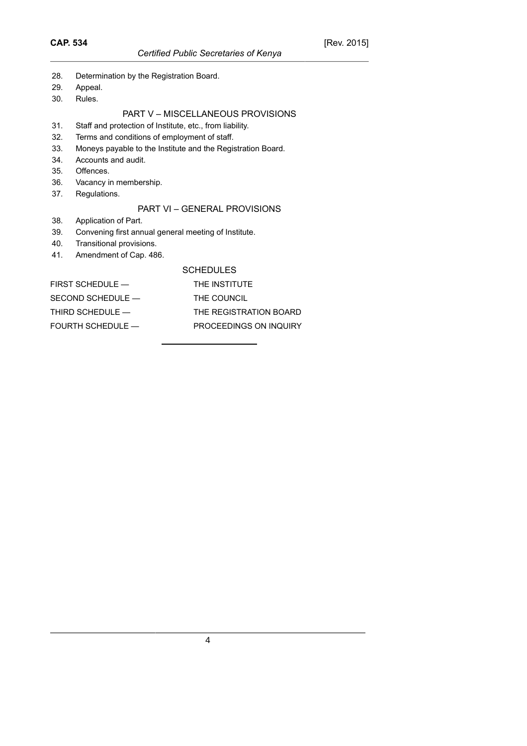- 28. Determination by the Registration Board.
- 29. Appeal.
- 30. Rules.

## PART V – MISCELLANEOUS PROVISIONS

- 31. Staff and protection of Institute, etc., from liability.
- 32. Terms and conditions of employment of staff.
- 33. Moneys payable to the Institute and the Registration Board.
- 34. Accounts and audit.
- 35. Offences.
- 36. Vacancy in membership.
- 37. Regulations.

## PART VI – GENERAL PROVISIONS

- 38. Application of Part.
- 39. Convening first annual general meeting of Institute.
- 40. Transitional provisions.
- 41. Amendment of Cap. 486.

#### **SCHEDULES**

| $FIRST$ SCHEDULE $-$ | THE INSTITUTE          |
|----------------------|------------------------|
| SECOND SCHEDULE —    | THE COUNCIL            |
| THIRD SCHEDULE —     | THE REGISTRATION BOARD |
| FOURTH SCHEDULE —    | PROCEEDINGS ON INQUIRY |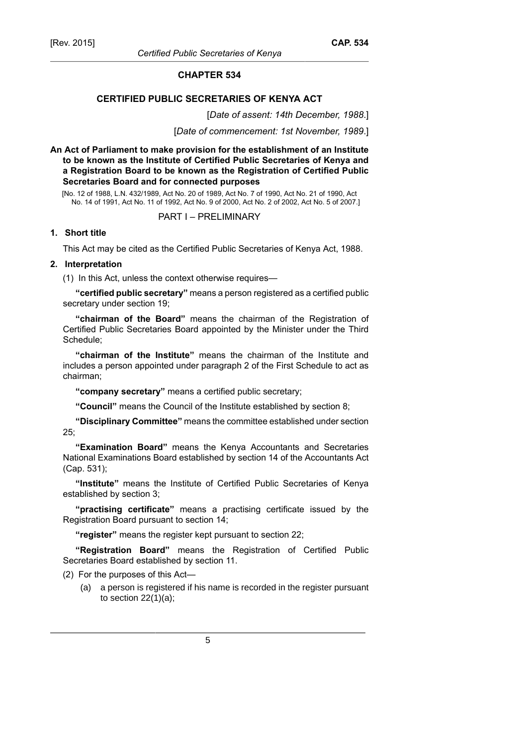#### **CHAPTER 534**

## **CERTIFIED PUBLIC SECRETARIES OF KENYA ACT**

[*Date of assent: 14th December, 1988*.]

[*Date of commencement: 1st November, 1989*.]

**An Act of Parliament to make provision for the establishment of an Institute to be known as the Institute of Certified Public Secretaries of Kenya and a Registration Board to be known as the Registration of Certified Public Secretaries Board and for connected purposes**

[No. 12 of 1988, L.N. 432/1989, Act No. 20 of 1989, Act No. 7 of 1990, Act No. 21 of 1990, Act No. 14 of 1991, Act No. 11 of 1992, Act No. 9 of 2000, Act No. 2 of 2002, Act No. 5 of 2007.]

## PART I – PRELIMINARY

## **1. Short title**

This Act may be cited as the Certified Public Secretaries of Kenya Act, 1988.

#### **2. Interpretation**

(1) In this Act, unless the context otherwise requires—

**"certified public secretary"** means a person registered as a certified public secretary under section 19;

**"chairman of the Board"** means the chairman of the Registration of Certified Public Secretaries Board appointed by the Minister under the Third Schedule;

**"chairman of the Institute"** means the chairman of the Institute and includes a person appointed under paragraph 2 of the First Schedule to act as chairman;

**"company secretary"** means a certified public secretary;

**"Council"** means the Council of the Institute established by section 8;

**"Disciplinary Committee"** means the committee established under section 25;

**"Examination Board"** means the Kenya Accountants and Secretaries National Examinations Board established by section 14 of the Accountants Act (Cap. 531);

**"Institute"** means the Institute of Certified Public Secretaries of Kenya established by section 3;

**"practising certificate"** means a practising certificate issued by the Registration Board pursuant to section 14;

**"register"** means the register kept pursuant to section 22;

**"Registration Board"** means the Registration of Certified Public Secretaries Board established by section 11.

(2) For the purposes of this Act—

(a) a person is registered if his name is recorded in the register pursuant to section  $22(1)(a)$ ;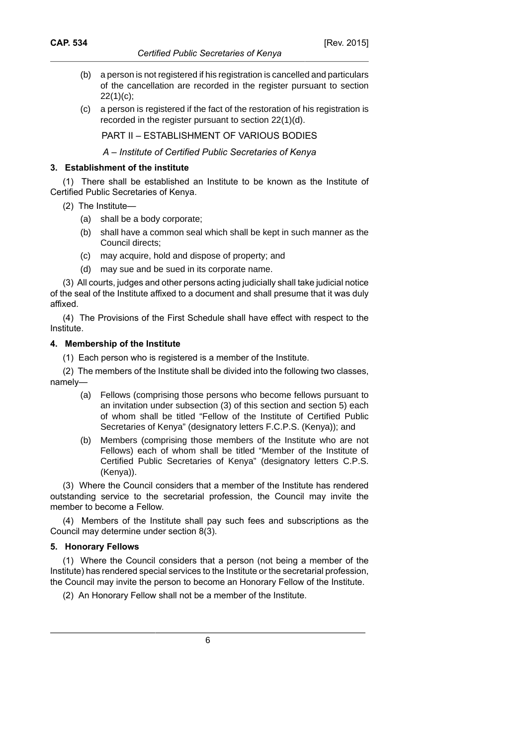- (b) a person is not registered if his registration is cancelled and particulars of the cancellation are recorded in the register pursuant to section 22(1)(c);
- (c) a person is registered if the fact of the restoration of his registration is recorded in the register pursuant to section 22(1)(d).

PART II – ESTABLISHMENT OF VARIOUS BODIES

*A – Institute of Certified Public Secretaries of Kenya*

## **3. Establishment of the institute**

(1) There shall be established an Institute to be known as the Institute of Certified Public Secretaries of Kenya.

- (2) The Institute—
	- (a) shall be a body corporate;
	- (b) shall have a common seal which shall be kept in such manner as the Council directs;
	- (c) may acquire, hold and dispose of property; and
	- (d) may sue and be sued in its corporate name.

(3) All courts, judges and other persons acting judicially shall take judicial notice of the seal of the Institute affixed to a document and shall presume that it was duly affixed.

(4) The Provisions of the First Schedule shall have effect with respect to the Institute.

## **4. Membership of the Institute**

(1) Each person who is registered is a member of the Institute.

(2) The members of the Institute shall be divided into the following two classes, namely—

- (a) Fellows (comprising those persons who become fellows pursuant to an invitation under subsection (3) of this section and section 5) each of whom shall be titled "Fellow of the Institute of Certified Public Secretaries of Kenya" (designatory letters F.C.P.S. (Kenya)); and
- (b) Members (comprising those members of the Institute who are not Fellows) each of whom shall be titled "Member of the Institute of Certified Public Secretaries of Kenya" (designatory letters C.P.S. (Kenya)).

(3) Where the Council considers that a member of the Institute has rendered outstanding service to the secretarial profession, the Council may invite the member to become a Fellow.

(4) Members of the Institute shall pay such fees and subscriptions as the Council may determine under section 8(3).

## **5. Honorary Fellows**

(1) Where the Council considers that a person (not being a member of the Institute) has rendered special services to the Institute or the secretarial profession, the Council may invite the person to become an Honorary Fellow of the Institute.

(2) An Honorary Fellow shall not be a member of the Institute.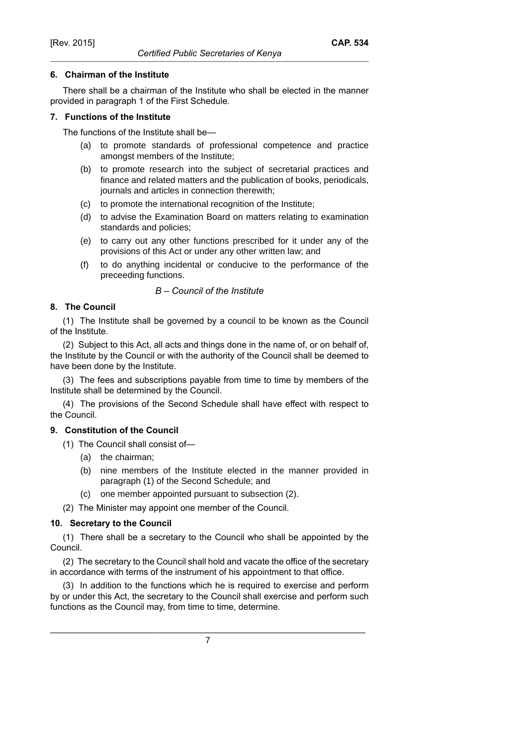## **6. Chairman of the Institute**

There shall be a chairman of the Institute who shall be elected in the manner provided in paragraph 1 of the First Schedule.

## **7. Functions of the Institute**

The functions of the Institute shall be—

- (a) to promote standards of professional competence and practice amongst members of the Institute;
- (b) to promote research into the subject of secretarial practices and finance and related matters and the publication of books, periodicals, journals and articles in connection therewith;
- (c) to promote the international recognition of the Institute;
- (d) to advise the Examination Board on matters relating to examination standards and policies;
- (e) to carry out any other functions prescribed for it under any of the provisions of this Act or under any other written law; and
- (f) to do anything incidental or conducive to the performance of the preceeding functions.

## *B – Council of the Institute*

## **8. The Council**

(1) The Institute shall be governed by a council to be known as the Council of the Institute.

(2) Subject to this Act, all acts and things done in the name of, or on behalf of, the Institute by the Council or with the authority of the Council shall be deemed to have been done by the Institute.

(3) The fees and subscriptions payable from time to time by members of the Institute shall be determined by the Council.

(4) The provisions of the Second Schedule shall have effect with respect to the Council.

# **9. Constitution of the Council**

- (1) The Council shall consist of—
	- (a) the chairman;
	- (b) nine members of the Institute elected in the manner provided in paragraph (1) of the Second Schedule; and
	- (c) one member appointed pursuant to subsection (2).

(2) The Minister may appoint one member of the Council.

## **10. Secretary to the Council**

(1) There shall be a secretary to the Council who shall be appointed by the Council.

(2) The secretary to the Council shall hold and vacate the office of the secretary in accordance with terms of the instrument of his appointment to that office.

(3) In addition to the functions which he is required to exercise and perform by or under this Act, the secretary to the Council shall exercise and perform such functions as the Council may, from time to time, determine.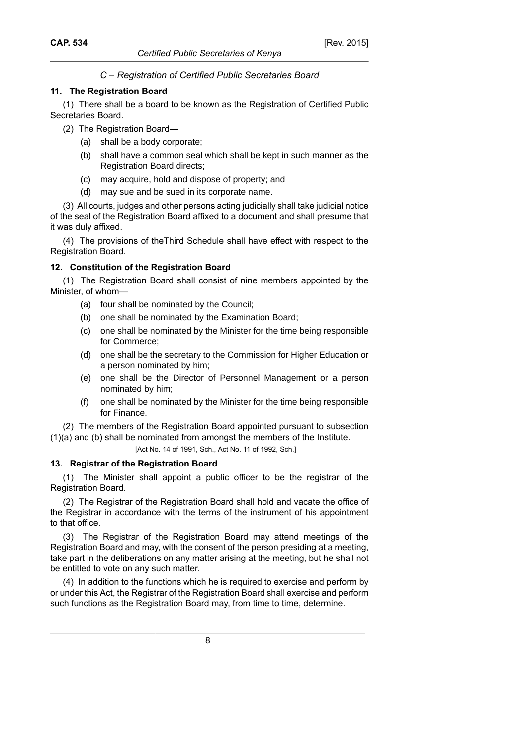# *C – Registration of Certified Public Secretaries Board*

*Certified Public Secretaries of Kenya*

#### **11. The Registration Board**

(1) There shall be a board to be known as the Registration of Certified Public Secretaries Board.

- (2) The Registration Board—
	- (a) shall be a body corporate;
	- (b) shall have a common seal which shall be kept in such manner as the Registration Board directs;
	- (c) may acquire, hold and dispose of property; and
	- (d) may sue and be sued in its corporate name.

(3) All courts, judges and other persons acting judicially shall take judicial notice of the seal of the Registration Board affixed to a document and shall presume that it was duly affixed.

(4) The provisions of theThird Schedule shall have effect with respect to the Registration Board.

## **12. Constitution of the Registration Board**

(1) The Registration Board shall consist of nine members appointed by the Minister, of whom—

- (a) four shall be nominated by the Council;
- (b) one shall be nominated by the Examination Board;
- (c) one shall be nominated by the Minister for the time being responsible for Commerce;
- (d) one shall be the secretary to the Commission for Higher Education or a person nominated by him;
- (e) one shall be the Director of Personnel Management or a person nominated by him;
- (f) one shall be nominated by the Minister for the time being responsible for Finance.

(2) The members of the Registration Board appointed pursuant to subsection (1)(a) and (b) shall be nominated from amongst the members of the Institute.

[Act No. 14 of 1991, Sch., Act No. 11 of 1992, Sch.]

## **13. Registrar of the Registration Board**

(1) The Minister shall appoint a public officer to be the registrar of the Registration Board.

(2) The Registrar of the Registration Board shall hold and vacate the office of the Registrar in accordance with the terms of the instrument of his appointment to that office.

(3) The Registrar of the Registration Board may attend meetings of the Registration Board and may, with the consent of the person presiding at a meeting, take part in the deliberations on any matter arising at the meeting, but he shall not be entitled to vote on any such matter.

(4) In addition to the functions which he is required to exercise and perform by or under this Act, the Registrar of the Registration Board shall exercise and perform such functions as the Registration Board may, from time to time, determine.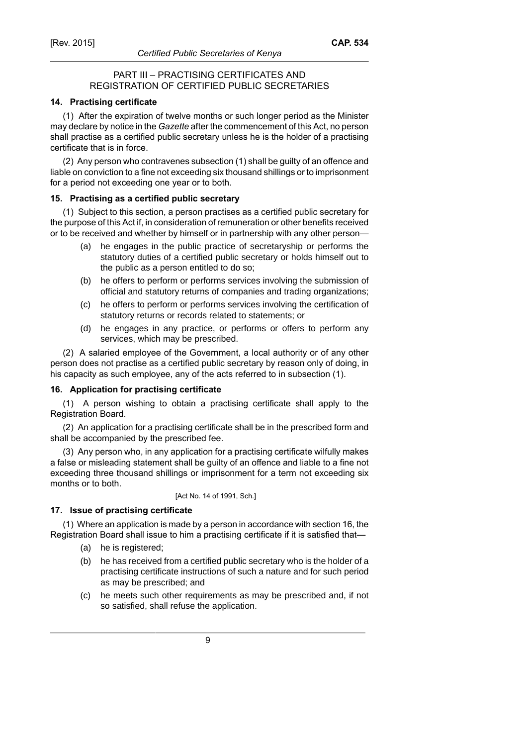## PART III – PRACTISING CERTIFICATES AND REGISTRATION OF CERTIFIED PUBLIC SECRETARIES

## **14. Practising certificate**

(1) After the expiration of twelve months or such longer period as the Minister may declare by notice in the *Gazette* after the commencement of this Act, no person shall practise as a certified public secretary unless he is the holder of a practising certificate that is in force.

(2) Any person who contravenes subsection (1) shall be guilty of an offence and liable on conviction to a fine not exceeding six thousand shillings or to imprisonment for a period not exceeding one year or to both.

#### **15. Practising as a certified public secretary**

(1) Subject to this section, a person practises as a certified public secretary for the purpose of this Act if, in consideration of remuneration or other benefits received or to be received and whether by himself or in partnership with any other person—

- (a) he engages in the public practice of secretaryship or performs the statutory duties of a certified public secretary or holds himself out to the public as a person entitled to do so;
- (b) he offers to perform or performs services involving the submission of official and statutory returns of companies and trading organizations;
- (c) he offers to perform or performs services involving the certification of statutory returns or records related to statements; or
- (d) he engages in any practice, or performs or offers to perform any services, which may be prescribed.

(2) A salaried employee of the Government, a local authority or of any other person does not practise as a certified public secretary by reason only of doing, in his capacity as such employee, any of the acts referred to in subsection (1).

#### **16. Application for practising certificate**

(1) A person wishing to obtain a practising certificate shall apply to the Registration Board.

(2) An application for a practising certificate shall be in the prescribed form and shall be accompanied by the prescribed fee.

(3) Any person who, in any application for a practising certificate wilfully makes a false or misleading statement shall be guilty of an offence and liable to a fine not exceeding three thousand shillings or imprisonment for a term not exceeding six months or to both.

[Act No. 14 of 1991, Sch.]

## **17. Issue of practising certificate**

(1) Where an application is made by a person in accordance with section 16, the Registration Board shall issue to him a practising certificate if it is satisfied that—

- (a) he is registered;
- (b) he has received from a certified public secretary who is the holder of a practising certificate instructions of such a nature and for such period as may be prescribed; and
- (c) he meets such other requirements as may be prescribed and, if not so satisfied, shall refuse the application.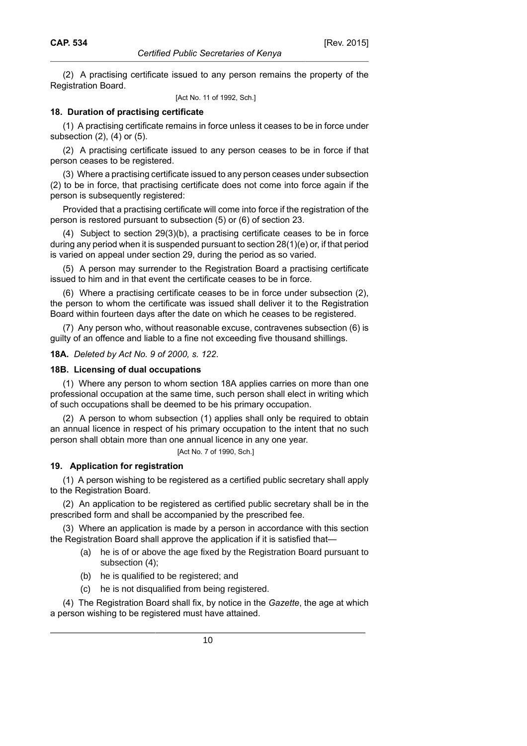(2) A practising certificate issued to any person remains the property of the Registration Board.

[Act No. 11 of 1992, Sch.]

## **18. Duration of practising certificate**

(1) A practising certificate remains in force unless it ceases to be in force under subsection (2), (4) or (5).

(2) A practising certificate issued to any person ceases to be in force if that person ceases to be registered.

(3) Where a practising certificate issued to any person ceases under subsection (2) to be in force, that practising certificate does not come into force again if the person is subsequently registered:

Provided that a practising certificate will come into force if the registration of the person is restored pursuant to subsection (5) or (6) of section 23.

(4) Subject to section 29(3)(b), a practising certificate ceases to be in force during any period when it is suspended pursuant to section 28(1)(e) or, if that period is varied on appeal under section 29, during the period as so varied.

(5) A person may surrender to the Registration Board a practising certificate issued to him and in that event the certificate ceases to be in force.

(6) Where a practising certificate ceases to be in force under subsection (2), the person to whom the certificate was issued shall deliver it to the Registration Board within fourteen days after the date on which he ceases to be registered.

(7) Any person who, without reasonable excuse, contravenes subsection (6) is guilty of an offence and liable to a fine not exceeding five thousand shillings.

**18A.** *Deleted by Act No. 9 of 2000, s. 122*.

#### **18B. Licensing of dual occupations**

(1) Where any person to whom section 18A applies carries on more than one professional occupation at the same time, such person shall elect in writing which of such occupations shall be deemed to be his primary occupation.

(2) A person to whom subsection (1) applies shall only be required to obtain an annual licence in respect of his primary occupation to the intent that no such person shall obtain more than one annual licence in any one year.

[Act No. 7 of 1990, Sch.]

#### **19. Application for registration**

(1) A person wishing to be registered as a certified public secretary shall apply to the Registration Board.

(2) An application to be registered as certified public secretary shall be in the prescribed form and shall be accompanied by the prescribed fee.

(3) Where an application is made by a person in accordance with this section the Registration Board shall approve the application if it is satisfied that—

- (a) he is of or above the age fixed by the Registration Board pursuant to subsection (4);
- (b) he is qualified to be registered; and
- (c) he is not disqualified from being registered.

(4) The Registration Board shall fix, by notice in the *Gazette*, the age at which a person wishing to be registered must have attained.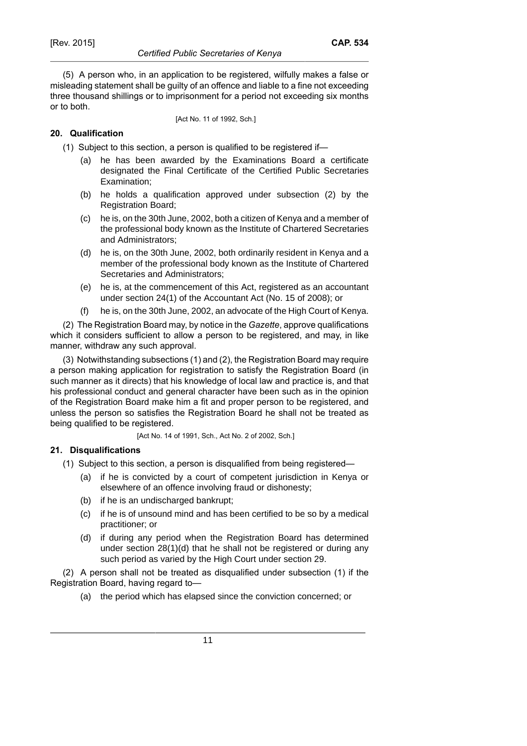(5) A person who, in an application to be registered, wilfully makes a false or misleading statement shall be guilty of an offence and liable to a fine not exceeding three thousand shillings or to imprisonment for a period not exceeding six months or to both.

[Act No. 11 of 1992, Sch.]

# **20. Qualification**

(1) Subject to this section, a person is qualified to be registered if—

- (a) he has been awarded by the Examinations Board a certificate designated the Final Certificate of the Certified Public Secretaries Examination;
- (b) he holds a qualification approved under subsection (2) by the Registration Board;
- (c) he is, on the 30th June, 2002, both a citizen of Kenya and a member of the professional body known as the Institute of Chartered Secretaries and Administrators;
- (d) he is, on the 30th June, 2002, both ordinarily resident in Kenya and a member of the professional body known as the Institute of Chartered Secretaries and Administrators;
- (e) he is, at the commencement of this Act, registered as an accountant under section 24(1) of the Accountant Act (No. 15 of 2008); or
- (f) he is, on the 30th June, 2002, an advocate of the High Court of Kenya.

(2) The Registration Board may, by notice in the *Gazette*, approve qualifications which it considers sufficient to allow a person to be registered, and may, in like manner, withdraw any such approval.

(3) Notwithstanding subsections (1) and (2), the Registration Board may require a person making application for registration to satisfy the Registration Board (in such manner as it directs) that his knowledge of local law and practice is, and that his professional conduct and general character have been such as in the opinion of the Registration Board make him a fit and proper person to be registered, and unless the person so satisfies the Registration Board he shall not be treated as being qualified to be registered.

[Act No. 14 of 1991, Sch., Act No. 2 of 2002, Sch.]

## **21. Disqualifications**

(1) Subject to this section, a person is disqualified from being registered—

- (a) if he is convicted by a court of competent jurisdiction in Kenya or elsewhere of an offence involving fraud or dishonesty;
- (b) if he is an undischarged bankrupt;
- (c) if he is of unsound mind and has been certified to be so by a medical practitioner; or
- (d) if during any period when the Registration Board has determined under section 28(1)(d) that he shall not be registered or during any such period as varied by the High Court under section 29.

(2) A person shall not be treated as disqualified under subsection (1) if the Registration Board, having regard to—

(a) the period which has elapsed since the conviction concerned; or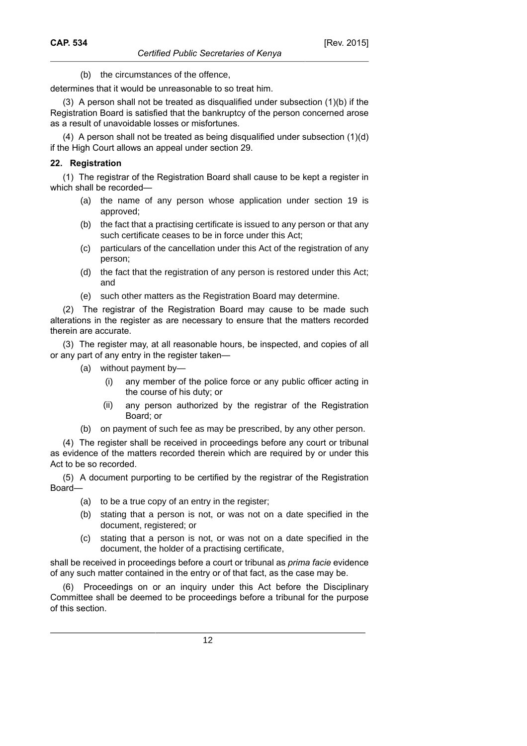(b) the circumstances of the offence,

determines that it would be unreasonable to so treat him.

(3) A person shall not be treated as disqualified under subsection (1)(b) if the Registration Board is satisfied that the bankruptcy of the person concerned arose as a result of unavoidable losses or misfortunes.

(4) A person shall not be treated as being disqualified under subsection (1)(d) if the High Court allows an appeal under section 29.

#### **22. Registration**

(1) The registrar of the Registration Board shall cause to be kept a register in which shall be recorded—

- (a) the name of any person whose application under section 19 is approved;
- (b) the fact that a practising certificate is issued to any person or that any such certificate ceases to be in force under this Act;
- (c) particulars of the cancellation under this Act of the registration of any person;
- (d) the fact that the registration of any person is restored under this Act; and
- (e) such other matters as the Registration Board may determine.

(2) The registrar of the Registration Board may cause to be made such alterations in the register as are necessary to ensure that the matters recorded therein are accurate.

(3) The register may, at all reasonable hours, be inspected, and copies of all or any part of any entry in the register taken—

- (a) without payment by—
	- (i) any member of the police force or any public officer acting in the course of his duty; or
	- (ii) any person authorized by the registrar of the Registration Board; or
- (b) on payment of such fee as may be prescribed, by any other person.

(4) The register shall be received in proceedings before any court or tribunal as evidence of the matters recorded therein which are required by or under this Act to be so recorded.

(5) A document purporting to be certified by the registrar of the Registration Board—

- (a) to be a true copy of an entry in the register;
- (b) stating that a person is not, or was not on a date specified in the document, registered; or
- (c) stating that a person is not, or was not on a date specified in the document, the holder of a practising certificate,

shall be received in proceedings before a court or tribunal as *prima facie* evidence of any such matter contained in the entry or of that fact, as the case may be.

(6) Proceedings on or an inquiry under this Act before the Disciplinary Committee shall be deemed to be proceedings before a tribunal for the purpose of this section.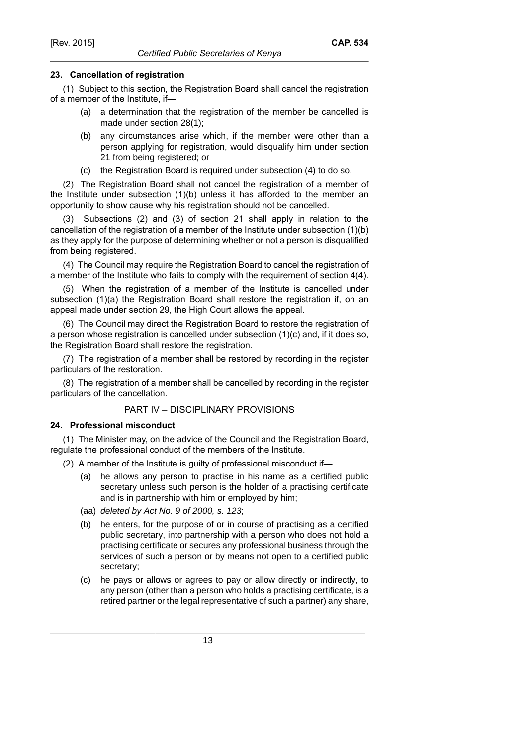## **23. Cancellation of registration**

(1) Subject to this section, the Registration Board shall cancel the registration of a member of the Institute, if—

- (a) a determination that the registration of the member be cancelled is made under section 28(1);
- (b) any circumstances arise which, if the member were other than a person applying for registration, would disqualify him under section 21 from being registered; or
- (c) the Registration Board is required under subsection (4) to do so.

(2) The Registration Board shall not cancel the registration of a member of the Institute under subsection (1)(b) unless it has afforded to the member an opportunity to show cause why his registration should not be cancelled.

(3) Subsections (2) and (3) of section 21 shall apply in relation to the cancellation of the registration of a member of the Institute under subsection (1)(b) as they apply for the purpose of determining whether or not a person is disqualified from being registered.

(4) The Council may require the Registration Board to cancel the registration of a member of the Institute who fails to comply with the requirement of section 4(4).

(5) When the registration of a member of the Institute is cancelled under subsection (1)(a) the Registration Board shall restore the registration if, on an appeal made under section 29, the High Court allows the appeal.

(6) The Council may direct the Registration Board to restore the registration of a person whose registration is cancelled under subsection (1)(c) and, if it does so, the Registration Board shall restore the registration.

(7) The registration of a member shall be restored by recording in the register particulars of the restoration.

(8) The registration of a member shall be cancelled by recording in the register particulars of the cancellation.

# PART IV – DISCIPLINARY PROVISIONS

## **24. Professional misconduct**

(1) The Minister may, on the advice of the Council and the Registration Board, regulate the professional conduct of the members of the Institute.

- (2) A member of the Institute is guilty of professional misconduct if—
	- (a) he allows any person to practise in his name as a certified public secretary unless such person is the holder of a practising certificate and is in partnership with him or employed by him;
	- (aa) deleted by Act No. 9 of 2000, s. 123;
	- (b) he enters, for the purpose of or in course of practising as a certified public secretary, into partnership with a person who does not hold a practising certificate or secures any professional business through the services of such a person or by means not open to a certified public secretary;
	- (c) he pays or allows or agrees to pay or allow directly or indirectly, to any person (other than a person who holds a practising certificate, is a retired partner or the legal representative of such a partner) any share,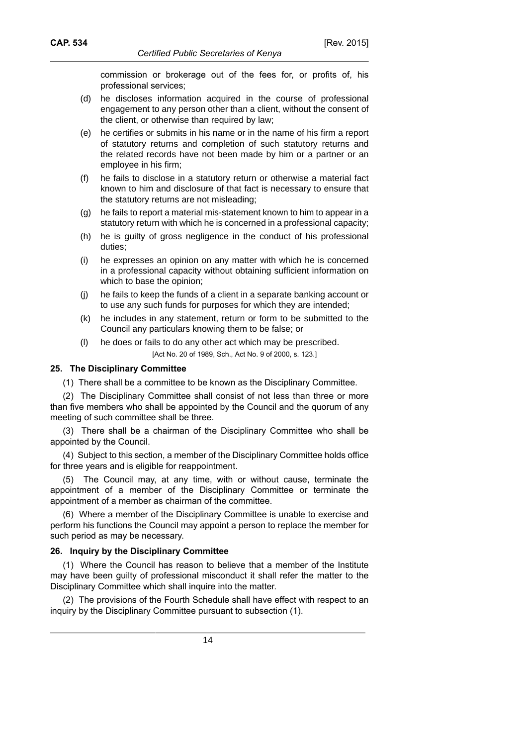commission or brokerage out of the fees for, or profits of, his professional services;

- (d) he discloses information acquired in the course of professional engagement to any person other than a client, without the consent of the client, or otherwise than required by law;
- (e) he certifies or submits in his name or in the name of his firm a report of statutory returns and completion of such statutory returns and the related records have not been made by him or a partner or an employee in his firm;
- (f) he fails to disclose in a statutory return or otherwise a material fact known to him and disclosure of that fact is necessary to ensure that the statutory returns are not misleading;
- (g) he fails to report a material mis-statement known to him to appear in a statutory return with which he is concerned in a professional capacity;
- (h) he is guilty of gross negligence in the conduct of his professional duties;
- (i) he expresses an opinion on any matter with which he is concerned in a professional capacity without obtaining sufficient information on which to base the opinion;
- (j) he fails to keep the funds of a client in a separate banking account or to use any such funds for purposes for which they are intended;
- (k) he includes in any statement, return or form to be submitted to the Council any particulars knowing them to be false; or
- (l) he does or fails to do any other act which may be prescribed. [Act No. 20 of 1989, Sch., Act No. 9 of 2000, s. 123.]

#### **25. The Disciplinary Committee**

(1) There shall be a committee to be known as the Disciplinary Committee.

(2) The Disciplinary Committee shall consist of not less than three or more than five members who shall be appointed by the Council and the quorum of any meeting of such committee shall be three.

(3) There shall be a chairman of the Disciplinary Committee who shall be appointed by the Council.

(4) Subject to this section, a member of the Disciplinary Committee holds office for three years and is eligible for reappointment.

(5) The Council may, at any time, with or without cause, terminate the appointment of a member of the Disciplinary Committee or terminate the appointment of a member as chairman of the committee.

(6) Where a member of the Disciplinary Committee is unable to exercise and perform his functions the Council may appoint a person to replace the member for such period as may be necessary.

#### **26. Inquiry by the Disciplinary Committee**

(1) Where the Council has reason to believe that a member of the Institute may have been guilty of professional misconduct it shall refer the matter to the Disciplinary Committee which shall inquire into the matter.

(2) The provisions of the Fourth Schedule shall have effect with respect to an inquiry by the Disciplinary Committee pursuant to subsection (1).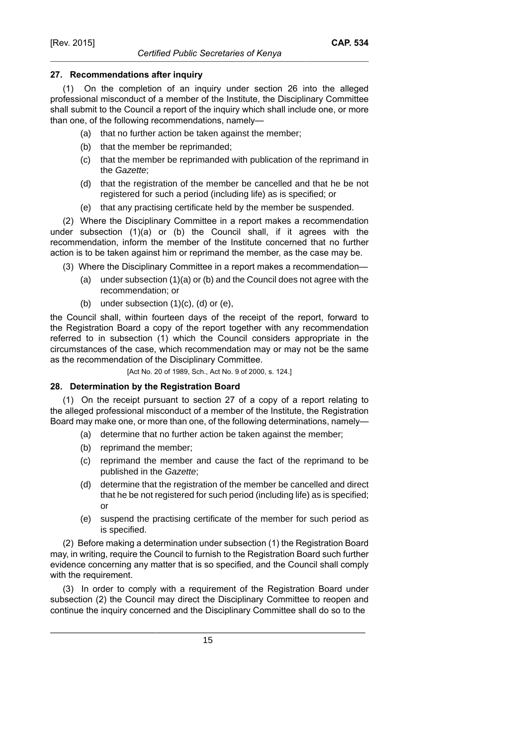## **27. Recommendations after inquiry**

(1) On the completion of an inquiry under section 26 into the alleged professional misconduct of a member of the Institute, the Disciplinary Committee shall submit to the Council a report of the inquiry which shall include one, or more than one, of the following recommendations, namely—

- (a) that no further action be taken against the member;
- (b) that the member be reprimanded;
- (c) that the member be reprimanded with publication of the reprimand in the Gazette;
- (d) that the registration of the member be cancelled and that he be not registered for such a period (including life) as is specified; or
- (e) that any practising certificate held by the member be suspended.

(2) Where the Disciplinary Committee in a report makes a recommendation under subsection (1)(a) or (b) the Council shall, if it agrees with the recommendation, inform the member of the Institute concerned that no further action is to be taken against him or reprimand the member, as the case may be.

- (3) Where the Disciplinary Committee in a report makes a recommendation—
	- (a) under subsection (1)(a) or (b) and the Council does not agree with the recommendation; or
	- (b) under subsection  $(1)(c)$ ,  $(d)$  or  $(e)$ ,

the Council shall, within fourteen days of the receipt of the report, forward to the Registration Board a copy of the report together with any recommendation referred to in subsection (1) which the Council considers appropriate in the circumstances of the case, which recommendation may or may not be the same as the recommendation of the Disciplinary Committee.

[Act No. 20 of 1989, Sch., Act No. 9 of 2000, s. 124.]

## **28. Determination by the Registration Board**

(1) On the receipt pursuant to section 27 of a copy of a report relating to the alleged professional misconduct of a member of the Institute, the Registration Board may make one, or more than one, of the following determinations, namely—

- (a) determine that no further action be taken against the member;
- (b) reprimand the member;
- (c) reprimand the member and cause the fact of the reprimand to be published in the Gazette;
- (d) determine that the registration of the member be cancelled and direct that he be not registered for such period (including life) as is specified; or
- (e) suspend the practising certificate of the member for such period as is specified.

(2) Before making a determination under subsection (1) the Registration Board may, in writing, require the Council to furnish to the Registration Board such further evidence concerning any matter that is so specified, and the Council shall comply with the requirement.

(3) In order to comply with a requirement of the Registration Board under subsection (2) the Council may direct the Disciplinary Committee to reopen and continue the inquiry concerned and the Disciplinary Committee shall do so to the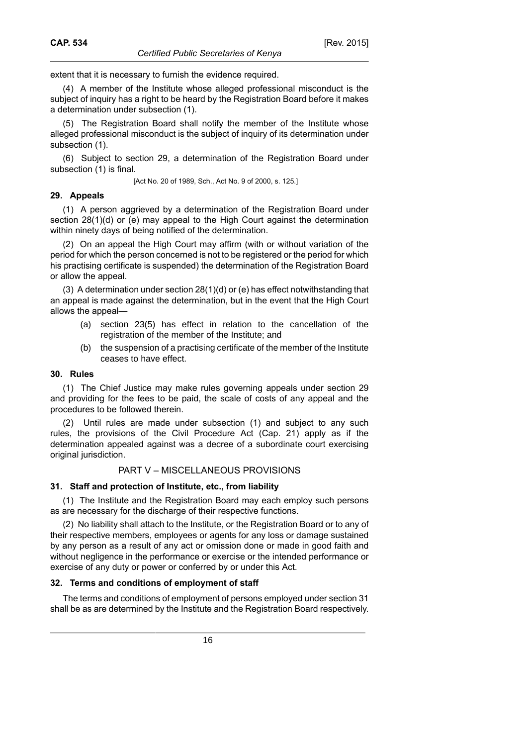extent that it is necessary to furnish the evidence required.

(4) A member of the Institute whose alleged professional misconduct is the subject of inquiry has a right to be heard by the Registration Board before it makes a determination under subsection (1).

(5) The Registration Board shall notify the member of the Institute whose alleged professional misconduct is the subject of inquiry of its determination under subsection (1).

(6) Subject to section 29, a determination of the Registration Board under subsection (1) is final.

[Act No. 20 of 1989, Sch., Act No. 9 of 2000, s. 125.]

## **29. Appeals**

(1) A person aggrieved by a determination of the Registration Board under section 28(1)(d) or (e) may appeal to the High Court against the determination within ninety days of being notified of the determination.

(2) On an appeal the High Court may affirm (with or without variation of the period for which the person concerned is not to be registered or the period for which his practising certificate is suspended) the determination of the Registration Board or allow the appeal.

(3) A determination under section 28(1)(d) or (e) has effect notwithstanding that an appeal is made against the determination, but in the event that the High Court allows the appeal—

- (a) section 23(5) has effect in relation to the cancellation of the registration of the member of the Institute; and
- (b) the suspension of a practising certificate of the member of the Institute ceases to have effect.

## **30. Rules**

(1) The Chief Justice may make rules governing appeals under section 29 and providing for the fees to be paid, the scale of costs of any appeal and the procedures to be followed therein.

(2) Until rules are made under subsection (1) and subject to any such rules, the provisions of the Civil Procedure Act (Cap. 21) apply as if the determination appealed against was a decree of a subordinate court exercising original jurisdiction.

#### PART V – MISCELLANEOUS PROVISIONS

## **31. Staff and protection of Institute, etc., from liability**

(1) The Institute and the Registration Board may each employ such persons as are necessary for the discharge of their respective functions.

(2) No liability shall attach to the Institute, or the Registration Board or to any of their respective members, employees or agents for any loss or damage sustained by any person as a result of any act or omission done or made in good faith and without negligence in the performance or exercise or the intended performance or exercise of any duty or power or conferred by or under this Act.

#### **32. Terms and conditions of employment of staff**

The terms and conditions of employment of persons employed under section 31 shall be as are determined by the Institute and the Registration Board respectively.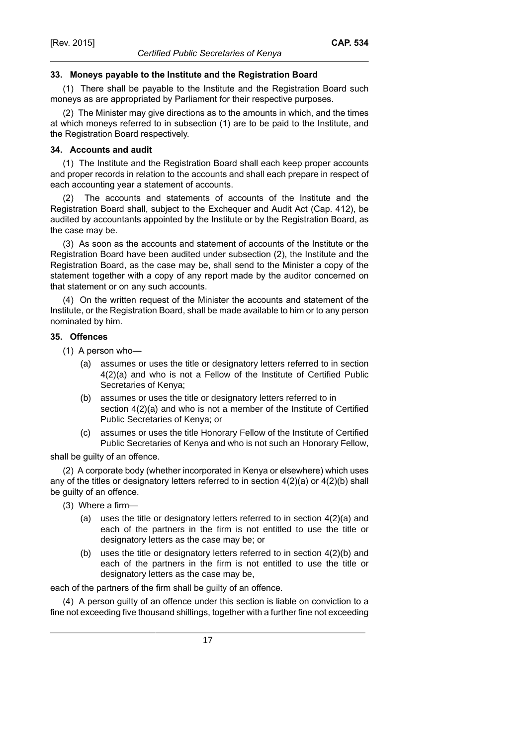## **33. Moneys payable to the Institute and the Registration Board**

(1) There shall be payable to the Institute and the Registration Board such moneys as are appropriated by Parliament for their respective purposes.

(2) The Minister may give directions as to the amounts in which, and the times at which moneys referred to in subsection (1) are to be paid to the Institute, and the Registration Board respectively.

## **34. Accounts and audit**

(1) The Institute and the Registration Board shall each keep proper accounts and proper records in relation to the accounts and shall each prepare in respect of each accounting year a statement of accounts.

(2) The accounts and statements of accounts of the Institute and the Registration Board shall, subject to the Exchequer and Audit Act (Cap. 412), be audited by accountants appointed by the Institute or by the Registration Board, as the case may be.

(3) As soon as the accounts and statement of accounts of the Institute or the Registration Board have been audited under subsection (2), the Institute and the Registration Board, as the case may be, shall send to the Minister a copy of the statement together with a copy of any report made by the auditor concerned on that statement or on any such accounts.

(4) On the written request of the Minister the accounts and statement of the Institute, or the Registration Board, shall be made available to him or to any person nominated by him.

## **35. Offences**

- (1) A person who—
	- (a) assumes or uses the title or designatory letters referred to in section 4(2)(a) and who is not a Fellow of the Institute of Certified Public Secretaries of Kenya;
	- (b) assumes or uses the title or designatory letters referred to in section 4(2)(a) and who is not a member of the Institute of Certified Public Secretaries of Kenya; or
	- (c) assumes or uses the title Honorary Fellow of the Institute of Certified Public Secretaries of Kenya and who is not such an Honorary Fellow,

shall be guilty of an offence.

(2) A corporate body (whether incorporated in Kenya or elsewhere) which uses any of the titles or designatory letters referred to in section  $4(2)(a)$  or  $4(2)(b)$  shall be guilty of an offence.

- (3) Where a firm—
	- (a) uses the title or designatory letters referred to in section 4(2)(a) and each of the partners in the firm is not entitled to use the title or designatory letters as the case may be; or
	- (b) uses the title or designatory letters referred to in section 4(2)(b) and each of the partners in the firm is not entitled to use the title or designatory letters as the case may be,

each of the partners of the firm shall be guilty of an offence.

(4) A person guilty of an offence under this section is liable on conviction to a fine not exceeding five thousand shillings, together with a further fine not exceeding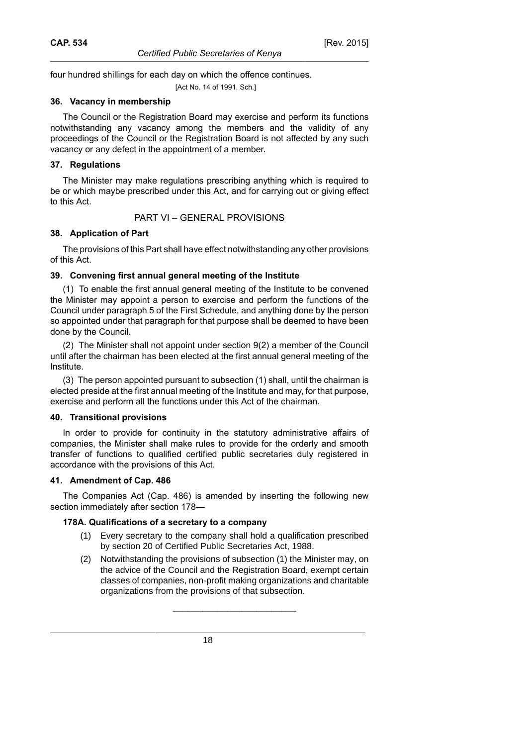[Act No. 14 of 1991, Sch.]

## **36. Vacancy in membership**

The Council or the Registration Board may exercise and perform its functions notwithstanding any vacancy among the members and the validity of any proceedings of the Council or the Registration Board is not affected by any such vacancy or any defect in the appointment of a member.

# **37. Regulations**

The Minister may make regulations prescribing anything which is required to be or which maybe prescribed under this Act, and for carrying out or giving effect to this Act.

# PART VI – GENERAL PROVISIONS

# **38. Application of Part**

The provisions of this Part shall have effect notwithstanding any other provisions of this Act.

# **39. Convening first annual general meeting of the Institute**

(1) To enable the first annual general meeting of the Institute to be convened the Minister may appoint a person to exercise and perform the functions of the Council under paragraph 5 of the First Schedule, and anything done by the person so appointed under that paragraph for that purpose shall be deemed to have been done by the Council.

(2) The Minister shall not appoint under section 9(2) a member of the Council until after the chairman has been elected at the first annual general meeting of the Institute.

(3) The person appointed pursuant to subsection (1) shall, until the chairman is elected preside at the first annual meeting of the Institute and may, for that purpose, exercise and perform all the functions under this Act of the chairman.

## **40. Transitional provisions**

In order to provide for continuity in the statutory administrative affairs of companies, the Minister shall make rules to provide for the orderly and smooth transfer of functions to qualified certified public secretaries duly registered in accordance with the provisions of this Act.

## **41. Amendment of Cap. 486**

The Companies Act (Cap. 486) is amended by inserting the following new section immediately after section 178—

# **178A. Qualifications of a secretary to a company**

- (1) Every secretary to the company shall hold a qualification prescribed by section 20 of Certified Public Secretaries Act, 1988.
- (2) Notwithstanding the provisions of subsection (1) the Minister may, on the advice of the Council and the Registration Board, exempt certain classes of companies, non-profit making organizations and charitable organizations from the provisions of that subsection.

\_\_\_\_\_\_\_\_\_\_\_\_\_\_\_\_\_\_\_\_\_\_\_\_\_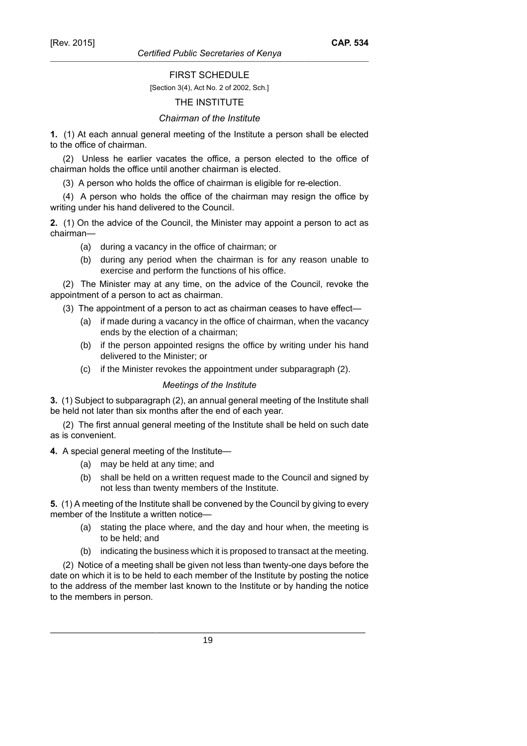#### *Certified Public Secretaries of Kenya*

#### FIRST SCHEDULE

#### [Section 3(4), Act No. 2 of 2002, Sch.]

## THE INSTITUTE

#### *Chairman of the Institute*

**1.** (1) At each annual general meeting of the Institute a person shall be elected to the office of chairman.

(2) Unless he earlier vacates the office, a person elected to the office of chairman holds the office until another chairman is elected.

(3) A person who holds the office of chairman is eligible for re-election.

(4) A person who holds the office of the chairman may resign the office by writing under his hand delivered to the Council.

**2.** (1) On the advice of the Council, the Minister may appoint a person to act as chairman—

- (a) during a vacancy in the office of chairman; or
- (b) during any period when the chairman is for any reason unable to exercise and perform the functions of his office.

(2) The Minister may at any time, on the advice of the Council, revoke the appointment of a person to act as chairman.

(3) The appointment of a person to act as chairman ceases to have effect—

- (a) if made during a vacancy in the office of chairman, when the vacancy ends by the election of a chairman;
- (b) if the person appointed resigns the office by writing under his hand delivered to the Minister; or
- (c) if the Minister revokes the appointment under subparagraph (2).

#### *Meetings of the Institute*

**3.** (1) Subject to subparagraph (2), an annual general meeting of the Institute shall be held not later than six months after the end of each year.

(2) The first annual general meeting of the Institute shall be held on such date as is convenient.

**4.** A special general meeting of the Institute—

- (a) may be held at any time; and
- (b) shall be held on a written request made to the Council and signed by not less than twenty members of the Institute.

**5.** (1) A meeting of the Institute shall be convened by the Council by giving to every member of the Institute a written notice—

- (a) stating the place where, and the day and hour when, the meeting is to be held; and
- (b) indicating the business which it is proposed to transact at the meeting.

(2) Notice of a meeting shall be given not less than twenty-one days before the date on which it is to be held to each member of the Institute by posting the notice to the address of the member last known to the Institute or by handing the notice to the members in person.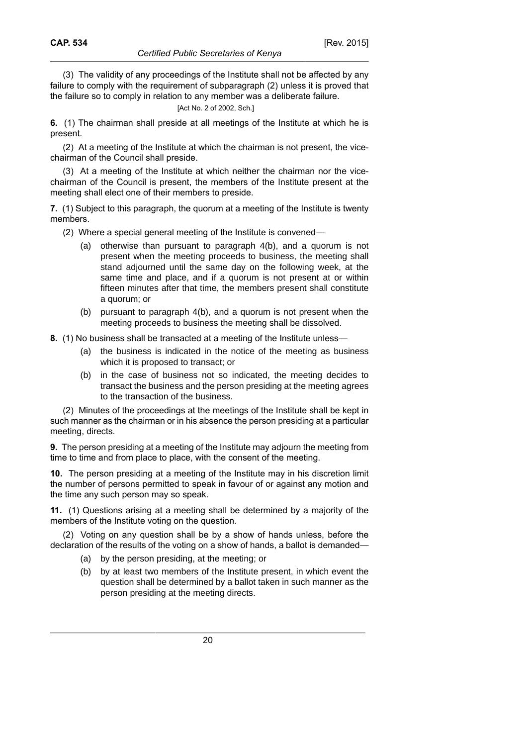(3) The validity of any proceedings of the Institute shall not be affected by any failure to comply with the requirement of subparagraph (2) unless it is proved that the failure so to comply in relation to any member was a deliberate failure.

[Act No. 2 of 2002, Sch.]

**6.** (1) The chairman shall preside at all meetings of the Institute at which he is present.

(2) At a meeting of the Institute at which the chairman is not present, the vicechairman of the Council shall preside.

(3) At a meeting of the Institute at which neither the chairman nor the vicechairman of the Council is present, the members of the Institute present at the meeting shall elect one of their members to preside.

**7.** (1) Subject to this paragraph, the quorum at a meeting of the Institute is twenty members.

- (2) Where a special general meeting of the Institute is convened—
	- (a) otherwise than pursuant to paragraph 4(b), and a quorum is not present when the meeting proceeds to business, the meeting shall stand adjourned until the same day on the following week, at the same time and place, and if a quorum is not present at or within fifteen minutes after that time, the members present shall constitute a quorum; or
	- (b) pursuant to paragraph 4(b), and a quorum is not present when the meeting proceeds to business the meeting shall be dissolved.

**8.** (1) No business shall be transacted at a meeting of the Institute unless—

- (a) the business is indicated in the notice of the meeting as business which it is proposed to transact; or
- (b) in the case of business not so indicated, the meeting decides to transact the business and the person presiding at the meeting agrees to the transaction of the business.

(2) Minutes of the proceedings at the meetings of the Institute shall be kept in such manner as the chairman or in his absence the person presiding at a particular meeting, directs.

**9.** The person presiding at a meeting of the Institute may adjourn the meeting from time to time and from place to place, with the consent of the meeting.

**10.** The person presiding at a meeting of the Institute may in his discretion limit the number of persons permitted to speak in favour of or against any motion and the time any such person may so speak.

**11.** (1) Questions arising at a meeting shall be determined by a majority of the members of the Institute voting on the question.

(2) Voting on any question shall be by a show of hands unless, before the declaration of the results of the voting on a show of hands, a ballot is demanded—

- (a) by the person presiding, at the meeting; or
- (b) by at least two members of the Institute present, in which event the question shall be determined by a ballot taken in such manner as the person presiding at the meeting directs.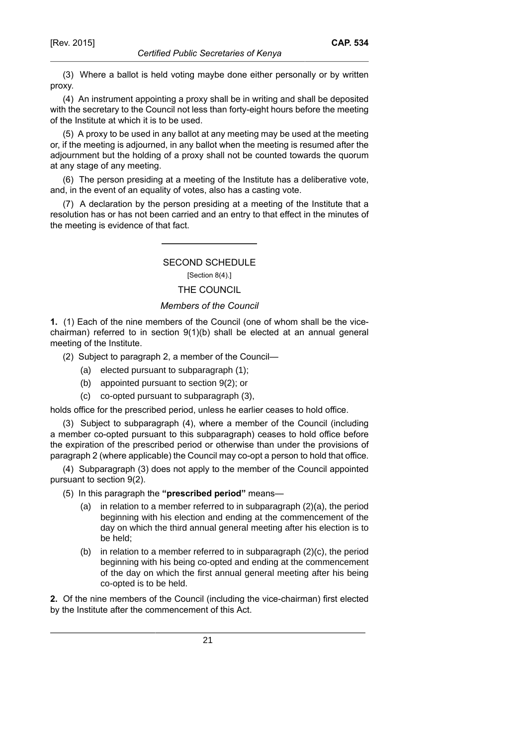(3) Where a ballot is held voting maybe done either personally or by written proxy.

(4) An instrument appointing a proxy shall be in writing and shall be deposited with the secretary to the Council not less than forty-eight hours before the meeting of the Institute at which it is to be used.

(5) A proxy to be used in any ballot at any meeting may be used at the meeting or, if the meeting is adjourned, in any ballot when the meeting is resumed after the adjournment but the holding of a proxy shall not be counted towards the quorum at any stage of any meeting.

(6) The person presiding at a meeting of the Institute has a deliberative vote, and, in the event of an equality of votes, also has a casting vote.

(7) A declaration by the person presiding at a meeting of the Institute that a resolution has or has not been carried and an entry to that effect in the minutes of the meeting is evidence of that fact.

# SECOND SCHEDULE

[Section 8(4).]

## THE COUNCIL

#### *Members of the Council*

**1.** (1) Each of the nine members of the Council (one of whom shall be the vicechairman) referred to in section  $9(1)(b)$  shall be elected at an annual general meeting of the Institute.

- (2) Subject to paragraph 2, a member of the Council—
	- (a) elected pursuant to subparagraph (1);
	- (b) appointed pursuant to section 9(2); or
	- (c) co-opted pursuant to subparagraph (3),

holds office for the prescribed period, unless he earlier ceases to hold office.

(3) Subject to subparagraph (4), where a member of the Council (including a member co-opted pursuant to this subparagraph) ceases to hold office before the expiration of the prescribed period or otherwise than under the provisions of paragraph 2 (where applicable) the Council may co-opt a person to hold that office.

(4) Subparagraph (3) does not apply to the member of the Council appointed pursuant to section 9(2).

- (5) In this paragraph the **"prescribed period"** means—
	- (a) in relation to a member referred to in subparagraph (2)(a), the period beginning with his election and ending at the commencement of the day on which the third annual general meeting after his election is to be held;
	- (b) in relation to a member referred to in subparagraph  $(2)(c)$ , the period beginning with his being co-opted and ending at the commencement of the day on which the first annual general meeting after his being co-opted is to be held.

**2.** Of the nine members of the Council (including the vice-chairman) first elected by the Institute after the commencement of this Act.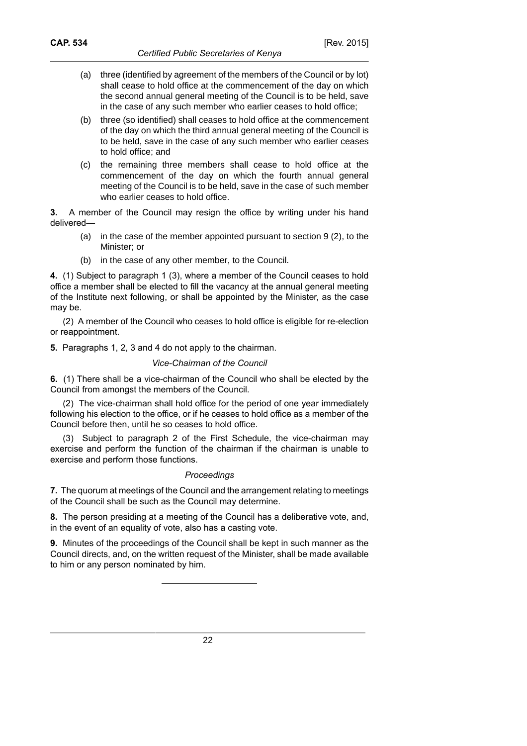- (a) three (identified by agreement of the members of the Council or by lot) shall cease to hold office at the commencement of the day on which the second annual general meeting of the Council is to be held, save in the case of any such member who earlier ceases to hold office;
- (b) three (so identified) shall ceases to hold office at the commencement of the day on which the third annual general meeting of the Council is to be held, save in the case of any such member who earlier ceases to hold office; and
- (c) the remaining three members shall cease to hold office at the commencement of the day on which the fourth annual general meeting of the Council is to be held, save in the case of such member who earlier ceases to hold office.

**3.** A member of the Council may resign the office by writing under his hand delivered—

- (a) in the case of the member appointed pursuant to section 9 (2), to the Minister; or
- (b) in the case of any other member, to the Council.

**4.** (1) Subject to paragraph 1 (3), where a member of the Council ceases to hold office a member shall be elected to fill the vacancy at the annual general meeting of the Institute next following, or shall be appointed by the Minister, as the case may be.

(2) A member of the Council who ceases to hold office is eligible for re-election or reappointment.

**5.** Paragraphs 1, 2, 3 and 4 do not apply to the chairman.

## *Vice-Chairman of the Council*

**6.** (1) There shall be a vice-chairman of the Council who shall be elected by the Council from amongst the members of the Council.

(2) The vice-chairman shall hold office for the period of one year immediately following his election to the office, or if he ceases to hold office as a member of the Council before then, until he so ceases to hold office.

(3) Subject to paragraph 2 of the First Schedule, the vice-chairman may exercise and perform the function of the chairman if the chairman is unable to exercise and perform those functions.

#### *Proceedings*

**7.** The quorum at meetings of the Council and the arrangement relating to meetings of the Council shall be such as the Council may determine.

**8.** The person presiding at a meeting of the Council has a deliberative vote, and, in the event of an equality of vote, also has a casting vote.

**9.** Minutes of the proceedings of the Council shall be kept in such manner as the Council directs, and, on the written request of the Minister, shall be made available to him or any person nominated by him.

22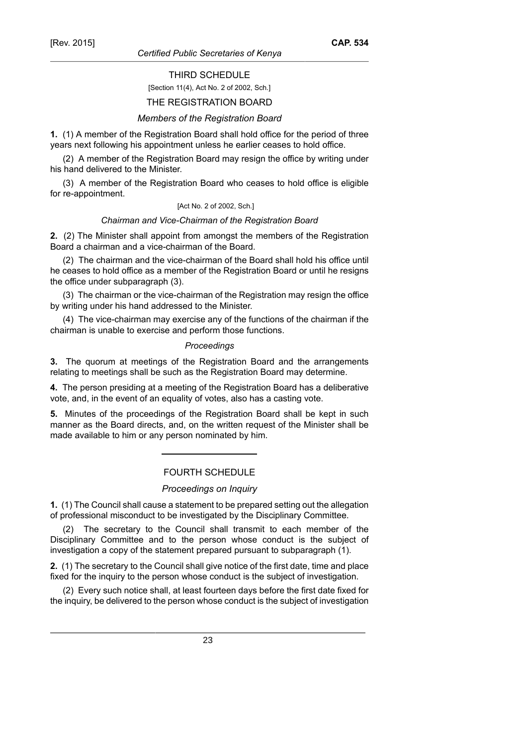**CAP. 534**

THIRD SCHEDULE

#### [Section 11(4), Act No. 2 of 2002, Sch.]

#### THE REGISTRATION BOARD

#### *Members of the Registration Board*

**1.** (1) A member of the Registration Board shall hold office for the period of three years next following his appointment unless he earlier ceases to hold office.

(2) A member of the Registration Board may resign the office by writing under his hand delivered to the Minister.

(3) A member of the Registration Board who ceases to hold office is eligible for re-appointment.

#### [Act No. 2 of 2002, Sch.]

#### *Chairman and Vice-Chairman of the Registration Board*

**2.** (2) The Minister shall appoint from amongst the members of the Registration Board a chairman and a vice-chairman of the Board.

(2) The chairman and the vice-chairman of the Board shall hold his office until he ceases to hold office as a member of the Registration Board or until he resigns the office under subparagraph (3).

(3) The chairman or the vice-chairman of the Registration may resign the office by writing under his hand addressed to the Minister.

(4) The vice-chairman may exercise any of the functions of the chairman if the chairman is unable to exercise and perform those functions.

#### *Proceedings*

**3.** The quorum at meetings of the Registration Board and the arrangements relating to meetings shall be such as the Registration Board may determine.

**4.** The person presiding at a meeting of the Registration Board has a deliberative vote, and, in the event of an equality of votes, also has a casting vote.

**5.** Minutes of the proceedings of the Registration Board shall be kept in such manner as the Board directs, and, on the written request of the Minister shall be made available to him or any person nominated by him.

#### FOURTH SCHEDULE

#### *Proceedings on Inquiry*

**1.** (1) The Council shall cause a statement to be prepared setting out the allegation of professional misconduct to be investigated by the Disciplinary Committee.

(2) The secretary to the Council shall transmit to each member of the Disciplinary Committee and to the person whose conduct is the subject of investigation a copy of the statement prepared pursuant to subparagraph (1).

**2.** (1) The secretary to the Council shall give notice of the first date, time and place fixed for the inquiry to the person whose conduct is the subject of investigation.

(2) Every such notice shall, at least fourteen days before the first date fixed for the inquiry, be delivered to the person whose conduct is the subject of investigation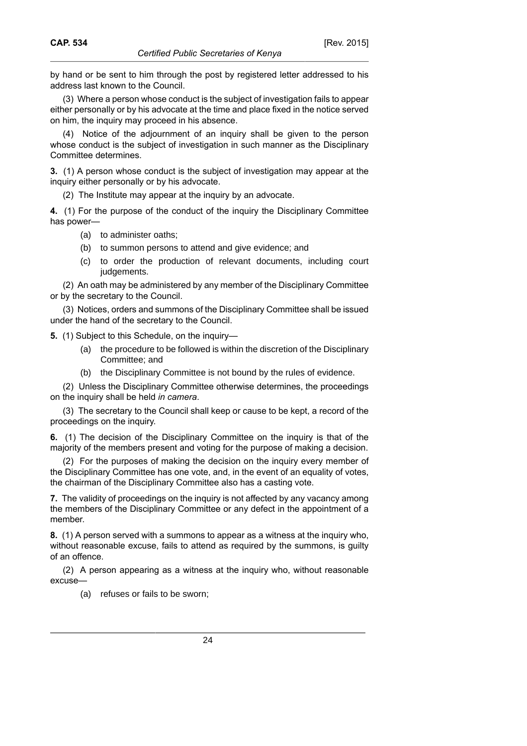by hand or be sent to him through the post by registered letter addressed to his address last known to the Council.

(3) Where a person whose conduct is the subject of investigation fails to appear either personally or by his advocate at the time and place fixed in the notice served on him, the inquiry may proceed in his absence.

(4) Notice of the adjournment of an inquiry shall be given to the person whose conduct is the subject of investigation in such manner as the Disciplinary Committee determines.

**3.** (1) A person whose conduct is the subject of investigation may appear at the inquiry either personally or by his advocate.

(2) The Institute may appear at the inquiry by an advocate.

**4.** (1) For the purpose of the conduct of the inquiry the Disciplinary Committee has power—

- (a) to administer oaths;
- (b) to summon persons to attend and give evidence; and
- (c) to order the production of relevant documents, including court judgements.

(2) An oath may be administered by any member of the Disciplinary Committee or by the secretary to the Council.

(3) Notices, orders and summons of the Disciplinary Committee shall be issued under the hand of the secretary to the Council.

**5.** (1) Subject to this Schedule, on the inquiry—

- (a) the procedure to be followed is within the discretion of the Disciplinary Committee; and
- (b) the Disciplinary Committee is not bound by the rules of evidence.

(2) Unless the Disciplinary Committee otherwise determines, the proceedings on the inquiry shall be held *in camera*.

(3) The secretary to the Council shall keep or cause to be kept, a record of the proceedings on the inquiry.

**6.** (1) The decision of the Disciplinary Committee on the inquiry is that of the majority of the members present and voting for the purpose of making a decision.

(2) For the purposes of making the decision on the inquiry every member of the Disciplinary Committee has one vote, and, in the event of an equality of votes, the chairman of the Disciplinary Committee also has a casting vote.

**7.** The validity of proceedings on the inquiry is not affected by any vacancy among the members of the Disciplinary Committee or any defect in the appointment of a member.

**8.** (1) A person served with a summons to appear as a witness at the inquiry who, without reasonable excuse, fails to attend as required by the summons, is guilty of an offence.

(2) A person appearing as a witness at the inquiry who, without reasonable excuse—

(a) refuses or fails to be sworn;